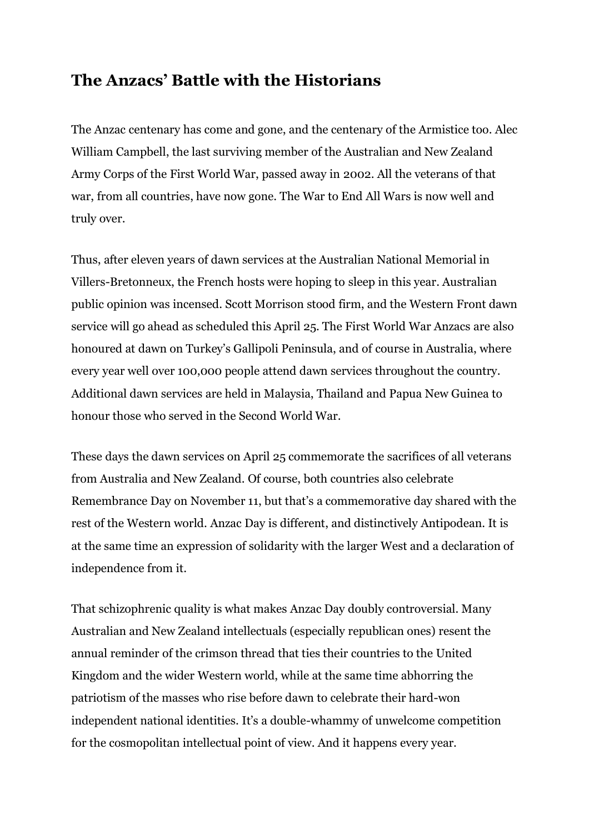## **The Anzacs' Battle with the Historians**

The Anzac centenary has come and gone, and the centenary of the Armistice too. Alec William Campbell, the last surviving member of the Australian and New Zealand Army Corps of the First World War, passed away in 2002. All the veterans of that war, from all countries, have now gone. The War to End All Wars is now well and truly over.

Thus, after eleven years of dawn services at the Australian National Memorial in Villers-Bretonneux, the French hosts were hoping to sleep in this year. Australian public opinion was incensed. Scott Morrison stood firm, and the Western Front dawn service will go ahead as scheduled this April 25. The First World War Anzacs are also honoured at dawn on Turkey's Gallipoli Peninsula, and of course in Australia, where every year well over 100,000 people attend dawn services throughout the country. Additional dawn services are held in Malaysia, Thailand and Papua New Guinea to honour those who served in the Second World War.

These days the dawn services on April 25 commemorate the sacrifices of all veterans from Australia and New Zealand. Of course, both countries also celebrate Remembrance Day on November 11, but that's a commemorative day shared with the rest of the Western world. Anzac Day is different, and distinctively Antipodean. It is at the same time an expression of solidarity with the larger West and a declaration of independence from it.

That schizophrenic quality is what makes Anzac Day doubly controversial. Many Australian and New Zealand intellectuals (especially republican ones) resent the annual reminder of the crimson thread that ties their countries to the United Kingdom and the wider Western world, while at the same time abhorring the patriotism of the masses who rise before dawn to celebrate their hard-won independent national identities. It's a double-whammy of unwelcome competition for the cosmopolitan intellectual point of view. And it happens every year.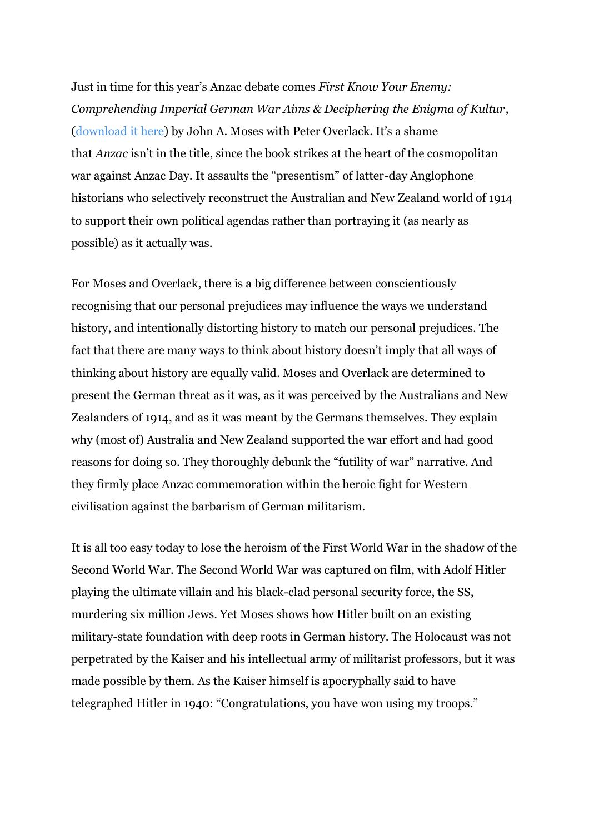Just in time for this year's Anzac debate comes *First Know Your Enemy: Comprehending Imperial German War Aims & Deciphering the Enigma of Kultur*, [\(download it here\)](https://www.academia.edu/38436856/Know_Your_Enemy_Comprehending_Imperial_German_War_Aims_and_Deciphering_the_Enigma_of_Kultur) by John A. Moses with Peter Overlack. It's a shame that *Anzac* isn't in the title, since the book strikes at the heart of the cosmopolitan war against Anzac Day. It assaults the "presentism" of latter-day Anglophone historians who selectively reconstruct the Australian and New Zealand world of 1914 to support their own political agendas rather than portraying it (as nearly as possible) as it actually was.

For Moses and Overlack, there is a big difference between conscientiously recognising that our personal prejudices may influence the ways we understand history, and intentionally distorting history to match our personal prejudices. The fact that there are many ways to think about history doesn't imply that all ways of thinking about history are equally valid. Moses and Overlack are determined to present the German threat as it was, as it was perceived by the Australians and New Zealanders of 1914, and as it was meant by the Germans themselves. They explain why (most of) Australia and New Zealand supported the war effort and had good reasons for doing so. They thoroughly debunk the "futility of war" narrative. And they firmly place Anzac commemoration within the heroic fight for Western civilisation against the barbarism of German militarism.

It is all too easy today to lose the heroism of the First World War in the shadow of the Second World War. The Second World War was captured on film, with Adolf Hitler playing the ultimate villain and his black-clad personal security force, the SS, murdering six million Jews. Yet Moses shows how Hitler built on an existing military-state foundation with deep roots in German history. The Holocaust was not perpetrated by the Kaiser and his intellectual army of militarist professors, but it was made possible by them. As the Kaiser himself is apocryphally said to have telegraphed Hitler in 1940: "Congratulations, you have won using my troops."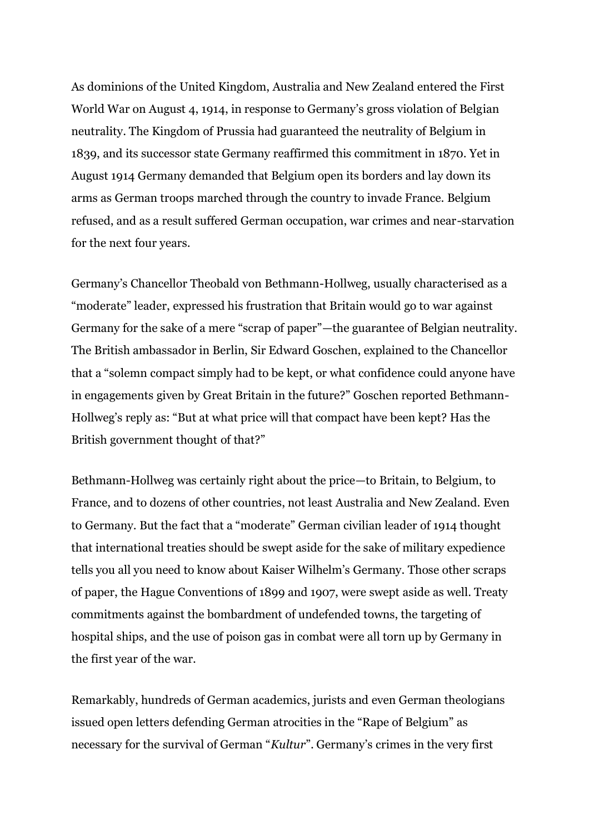As dominions of the United Kingdom, Australia and New Zealand entered the First World War on August 4, 1914, in response to Germany's gross violation of Belgian neutrality. The Kingdom of Prussia had guaranteed the neutrality of Belgium in 1839, and its successor state Germany reaffirmed this commitment in 1870. Yet in August 1914 Germany demanded that Belgium open its borders and lay down its arms as German troops marched through the country to invade France. Belgium refused, and as a result suffered German occupation, war crimes and near-starvation for the next four years.

Germany's Chancellor Theobald von Bethmann-Hollweg, usually characterised as a "moderate" leader, expressed his frustration that Britain would go to war against Germany for the sake of a mere "scrap of paper"—the guarantee of Belgian neutrality. The British ambassador in Berlin, Sir Edward Goschen, explained to the Chancellor that a "solemn compact simply had to be kept, or what confidence could anyone have in engagements given by Great Britain in the future?" Goschen reported Bethmann-Hollweg's reply as: "But at what price will that compact have been kept? Has the British government thought of that?"

Bethmann-Hollweg was certainly right about the price—to Britain, to Belgium, to France, and to dozens of other countries, not least Australia and New Zealand. Even to Germany. But the fact that a "moderate" German civilian leader of 1914 thought that international treaties should be swept aside for the sake of military expedience tells you all you need to know about Kaiser Wilhelm's Germany. Those other scraps of paper, the Hague Conventions of 1899 and 1907, were swept aside as well. Treaty commitments against the bombardment of undefended towns, the targeting of hospital ships, and the use of poison gas in combat were all torn up by Germany in the first year of the war.

Remarkably, hundreds of German academics, jurists and even German theologians issued open letters defending German atrocities in the "Rape of Belgium" as necessary for the survival of German "*Kultur*". Germany's crimes in the very first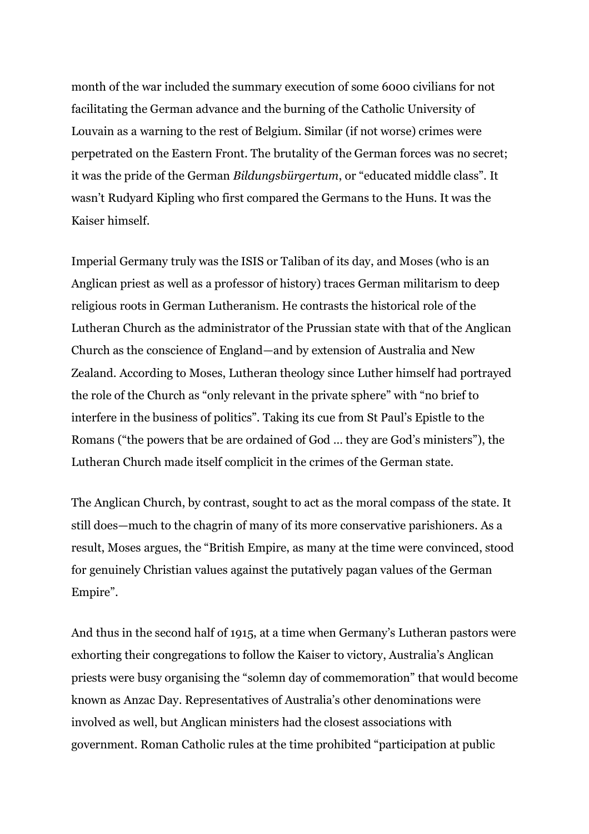month of the war included the summary execution of some 6000 civilians for not facilitating the German advance and the burning of the Catholic University of Louvain as a warning to the rest of Belgium. Similar (if not worse) crimes were perpetrated on the Eastern Front. The brutality of the German forces was no secret; it was the pride of the German *Bildungsbürgertum*, or "educated middle class". It wasn't Rudyard Kipling who first compared the Germans to the Huns. It was the Kaiser himself.

Imperial Germany truly was the ISIS or Taliban of its day, and Moses (who is an Anglican priest as well as a professor of history) traces German militarism to deep religious roots in German Lutheranism. He contrasts the historical role of the Lutheran Church as the administrator of the Prussian state with that of the Anglican Church as the conscience of England—and by extension of Australia and New Zealand. According to Moses, Lutheran theology since Luther himself had portrayed the role of the Church as "only relevant in the private sphere" with "no brief to interfere in the business of politics". Taking its cue from St Paul's Epistle to the Romans ("the powers that be are ordained of God … they are God's ministers"), the Lutheran Church made itself complicit in the crimes of the German state.

The Anglican Church, by contrast, sought to act as the moral compass of the state. It still does—much to the chagrin of many of its more conservative parishioners. As a result, Moses argues, the "British Empire, as many at the time were convinced, stood for genuinely Christian values against the putatively pagan values of the German Empire".

And thus in the second half of 1915, at a time when Germany's Lutheran pastors were exhorting their congregations to follow the Kaiser to victory, Australia's Anglican priests were busy organising the "solemn day of commemoration" that would become known as Anzac Day. Representatives of Australia's other denominations were involved as well, but Anglican ministers had the closest associations with government. Roman Catholic rules at the time prohibited "participation at public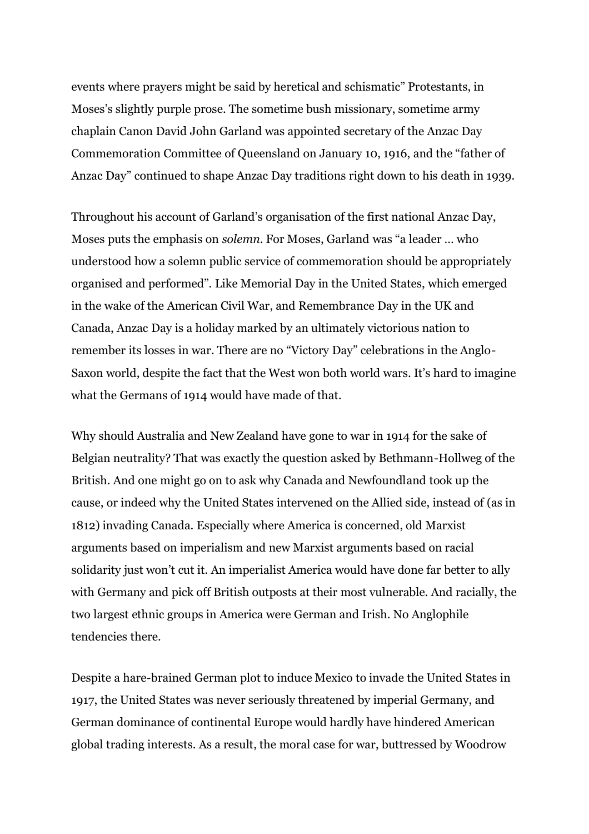events where prayers might be said by heretical and schismatic" Protestants, in Moses's slightly purple prose. The sometime bush missionary, sometime army chaplain Canon David John Garland was appointed secretary of the Anzac Day Commemoration Committee of Queensland on January 10, 1916, and the "father of Anzac Day" continued to shape Anzac Day traditions right down to his death in 1939.

Throughout his account of Garland's organisation of the first national Anzac Day, Moses puts the emphasis on *solemn*. For Moses, Garland was "a leader … who understood how a solemn public service of commemoration should be appropriately organised and performed". Like Memorial Day in the United States, which emerged in the wake of the American Civil War, and Remembrance Day in the UK and Canada, Anzac Day is a holiday marked by an ultimately victorious nation to remember its losses in war. There are no "Victory Day" celebrations in the Anglo-Saxon world, despite the fact that the West won both world wars. It's hard to imagine what the Germans of 1914 would have made of that.

Why should Australia and New Zealand have gone to war in 1914 for the sake of Belgian neutrality? That was exactly the question asked by Bethmann-Hollweg of the British. And one might go on to ask why Canada and Newfoundland took up the cause, or indeed why the United States intervened on the Allied side, instead of (as in 1812) invading Canada. Especially where America is concerned, old Marxist arguments based on imperialism and new Marxist arguments based on racial solidarity just won't cut it. An imperialist America would have done far better to ally with Germany and pick off British outposts at their most vulnerable. And racially, the two largest ethnic groups in America were German and Irish. No Anglophile tendencies there.

Despite a hare-brained German plot to induce Mexico to invade the United States in 1917, the United States was never seriously threatened by imperial Germany, and German dominance of continental Europe would hardly have hindered American global trading interests. As a result, the moral case for war, buttressed by Woodrow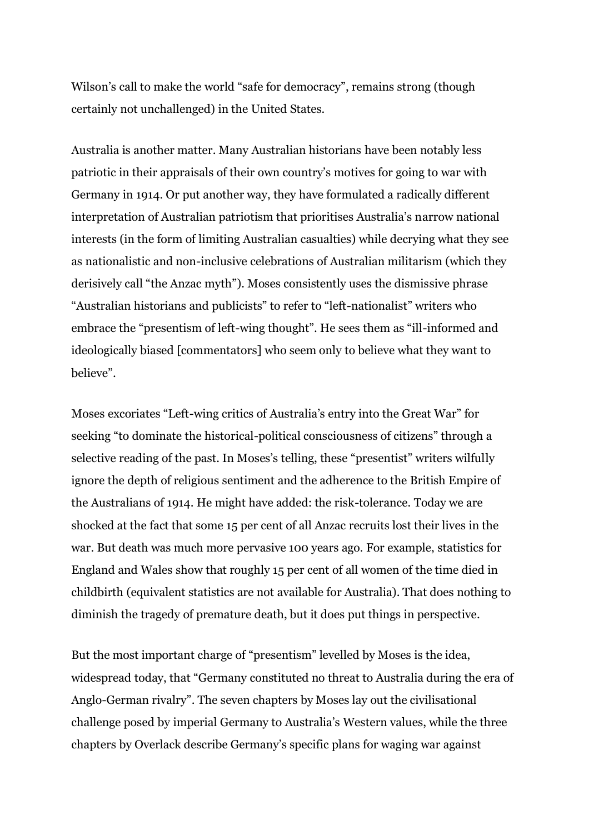Wilson's call to make the world "safe for democracy", remains strong (though certainly not unchallenged) in the United States.

Australia is another matter. Many Australian historians have been notably less patriotic in their appraisals of their own country's motives for going to war with Germany in 1914. Or put another way, they have formulated a radically different interpretation of Australian patriotism that prioritises Australia's narrow national interests (in the form of limiting Australian casualties) while decrying what they see as nationalistic and non-inclusive celebrations of Australian militarism (which they derisively call "the Anzac myth"). Moses consistently uses the dismissive phrase "Australian historians and publicists" to refer to "left-nationalist" writers who embrace the "presentism of left-wing thought". He sees them as "ill-informed and ideologically biased [commentators] who seem only to believe what they want to believe".

Moses excoriates "Left-wing critics of Australia's entry into the Great War" for seeking "to dominate the historical-political consciousness of citizens" through a selective reading of the past. In Moses's telling, these "presentist" writers wilfully ignore the depth of religious sentiment and the adherence to the British Empire of the Australians of 1914. He might have added: the risk-tolerance. Today we are shocked at the fact that some 15 per cent of all Anzac recruits lost their lives in the war. But death was much more pervasive 100 years ago. For example, statistics for England and Wales show that roughly 15 per cent of all women of the time died in childbirth (equivalent statistics are not available for Australia). That does nothing to diminish the tragedy of premature death, but it does put things in perspective.

But the most important charge of "presentism" levelled by Moses is the idea, widespread today, that "Germany constituted no threat to Australia during the era of Anglo-German rivalry". The seven chapters by Moses lay out the civilisational challenge posed by imperial Germany to Australia's Western values, while the three chapters by Overlack describe Germany's specific plans for waging war against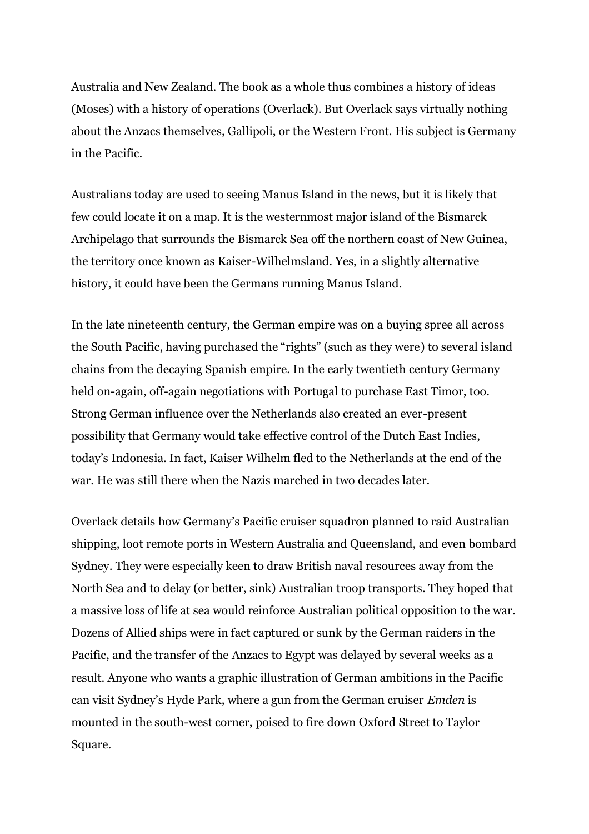Australia and New Zealand. The book as a whole thus combines a history of ideas (Moses) with a history of operations (Overlack). But Overlack says virtually nothing about the Anzacs themselves, Gallipoli, or the Western Front. His subject is Germany in the Pacific.

Australians today are used to seeing Manus Island in the news, but it is likely that few could locate it on a map. It is the westernmost major island of the Bismarck Archipelago that surrounds the Bismarck Sea off the northern coast of New Guinea, the territory once known as Kaiser-Wilhelmsland. Yes, in a slightly alternative history, it could have been the Germans running Manus Island.

In the late nineteenth century, the German empire was on a buying spree all across the South Pacific, having purchased the "rights" (such as they were) to several island chains from the decaying Spanish empire. In the early twentieth century Germany held on-again, off-again negotiations with Portugal to purchase East Timor, too. Strong German influence over the Netherlands also created an ever-present possibility that Germany would take effective control of the Dutch East Indies, today's Indonesia. In fact, Kaiser Wilhelm fled to the Netherlands at the end of the war. He was still there when the Nazis marched in two decades later.

Overlack details how Germany's Pacific cruiser squadron planned to raid Australian shipping, loot remote ports in Western Australia and Queensland, and even bombard Sydney. They were especially keen to draw British naval resources away from the North Sea and to delay (or better, sink) Australian troop transports. They hoped that a massive loss of life at sea would reinforce Australian political opposition to the war. Dozens of Allied ships were in fact captured or sunk by the German raiders in the Pacific, and the transfer of the Anzacs to Egypt was delayed by several weeks as a result. Anyone who wants a graphic illustration of German ambitions in the Pacific can visit Sydney's Hyde Park, where a gun from the German cruiser *Emden* is mounted in the south-west corner, poised to fire down Oxford Street to Taylor Square.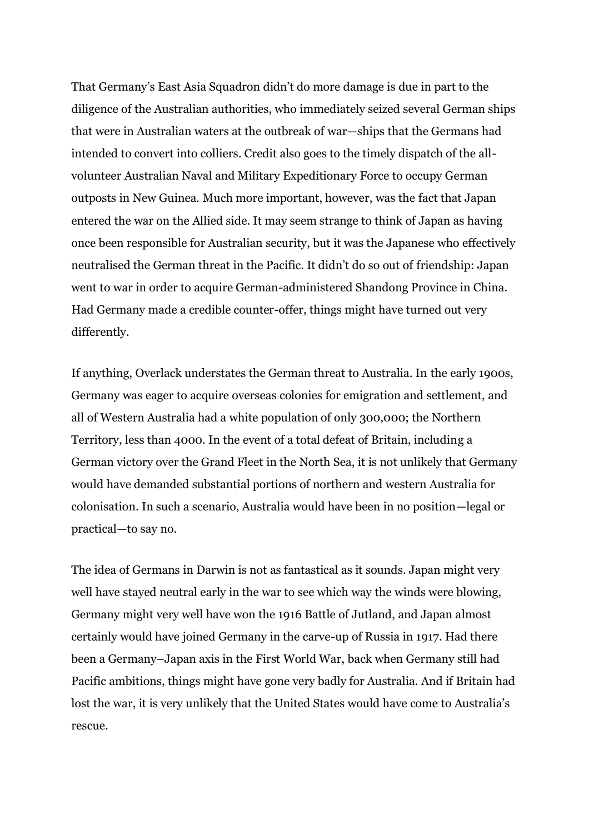That Germany's East Asia Squadron didn't do more damage is due in part to the diligence of the Australian authorities, who immediately seized several German ships that were in Australian waters at the outbreak of war—ships that the Germans had intended to convert into colliers. Credit also goes to the timely dispatch of the allvolunteer Australian Naval and Military Expeditionary Force to occupy German outposts in New Guinea. Much more important, however, was the fact that Japan entered the war on the Allied side. It may seem strange to think of Japan as having once been responsible for Australian security, but it was the Japanese who effectively neutralised the German threat in the Pacific. It didn't do so out of friendship: Japan went to war in order to acquire German-administered Shandong Province in China. Had Germany made a credible counter-offer, things might have turned out very differently.

If anything, Overlack understates the German threat to Australia. In the early 1900s, Germany was eager to acquire overseas colonies for emigration and settlement, and all of Western Australia had a white population of only 300,000; the Northern Territory, less than 4000. In the event of a total defeat of Britain, including a German victory over the Grand Fleet in the North Sea, it is not unlikely that Germany would have demanded substantial portions of northern and western Australia for colonisation. In such a scenario, Australia would have been in no position—legal or practical—to say no.

The idea of Germans in Darwin is not as fantastical as it sounds. Japan might very well have stayed neutral early in the war to see which way the winds were blowing, Germany might very well have won the 1916 Battle of Jutland, and Japan almost certainly would have joined Germany in the carve-up of Russia in 1917. Had there been a Germany–Japan axis in the First World War, back when Germany still had Pacific ambitions, things might have gone very badly for Australia. And if Britain had lost the war, it is very unlikely that the United States would have come to Australia's rescue.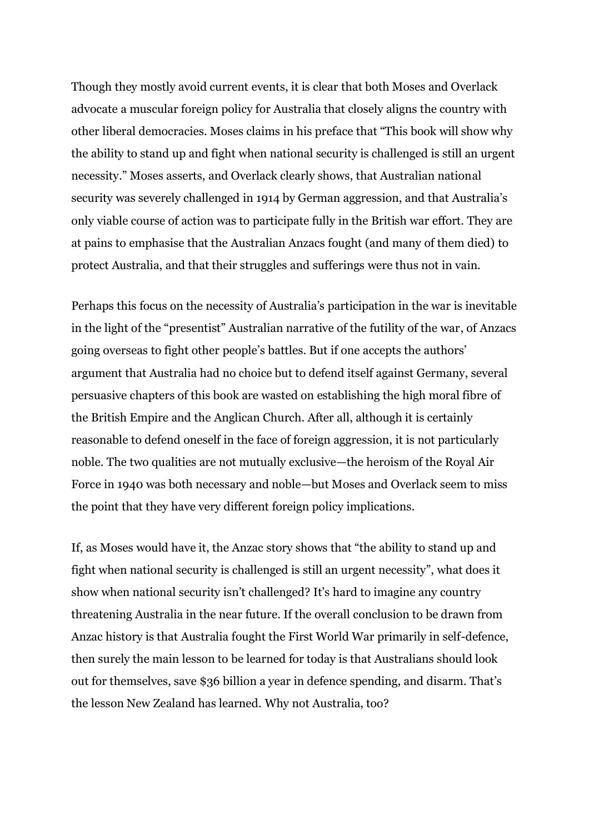Though they mostly avoid current events, it is clear that both Moses and Overlack advocate a muscular foreign policy for Australia that closely aligns the country with other liberal democracies. Moses claims in his preface that "This book will show why the ability to stand up and fight when national security is challenged is still an urgent necessity." Moses asserts, and Overlack clearly shows, that Australian national security was severely challenged in 1914 by German aggression, and that Australia's only viable course of action was to participate fully in the British war effort. They are at pains to emphasise that the Australian Anzacs fought (and many of them died) to protect Australia, and that their struggles and sufferings were thus not in vain.

Perhaps this focus on the necessity of Australia's participation in the war is inevitable in the light of the "presentist" Australian narrative of the futility of the war, of Anzacs going overseas to fight other people's battles. But if one accepts the authors' argument that Australia had no choice but to defend itself against Germany, several persuasive chapters of this book are wasted on establishing the high moral fibre of the British Empire and the Anglican Church. After all, although it is certainly reasonable to defend oneself in the face of foreign aggression, it is not particularly noble. The two qualities are not mutually exclusive—the heroism of the Royal Air Force in 1940 was both necessary and noble—but Moses and Overlack seem to miss the point that they have very different foreign policy implications.

If, as Moses would have it, the Anzac story shows that "the ability to stand up and fight when national security is challenged is still an urgent necessity", what does it show when national security isn't challenged? It's hard to imagine any country threatening Australia in the near future. If the overall conclusion to be drawn from Anzac history is that Australia fought the First World War primarily in self-defence, then surely the main lesson to be learned for today is that Australians should look out for themselves, save \$36 billion a year in defence spending, and disarm. That's the lesson New Zealand has learned. Why not Australia, too?